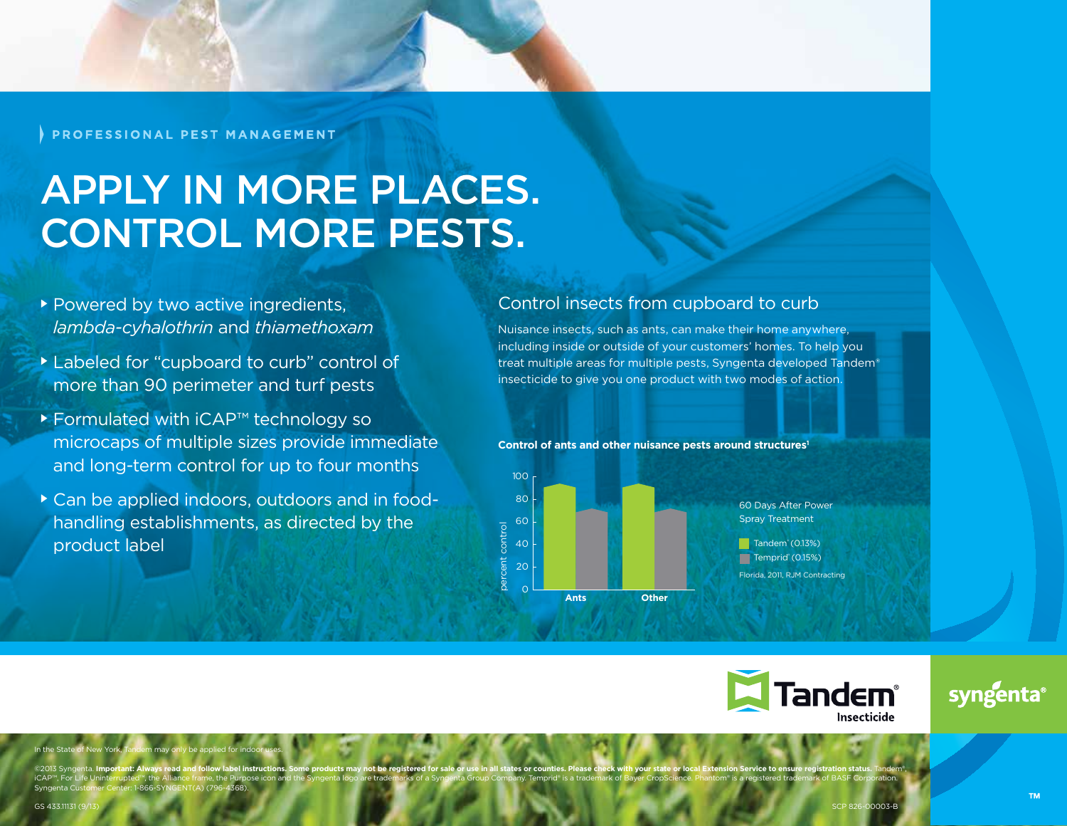PROFESSIONAL PEST MANAGEMENT

# Apply in more places. CONTROL MORE PESTS.

- Powered by two active ingredients, *lambda-cyhalothrin* and *thiamethoxam*
- Labeled for "cupboard to curb" control of more than 90 perimeter and turf pests
- Formulated with iCAP™ technology so microcaps of multiple sizes provide immediate and long-term control for up to four months
- Can be applied indoors, outdoors and in foodhandling establishments, as directed by the product label

### Control insects from cupboard to curb

Nuisance insects, such as ants, can make their home anywhere, including inside or outside of your customers' homes. To help you treat multiple areas for multiple pests, Syngenta developed Tandem® insecticide to give you one product with two modes of action.





60 Days After Power Spray Treatment Florida, 2011, RJM Contracting  $\blacksquare$  Tandem (0.13%) Temprid (0.15%)



## syngenta

@2013 Syngenta. Important: Always read and follow label instructions. Some products may not be registered for sale or use in all states or counties. Please check with your state or local Extension Service to ensure registr iCAP™, For Life Uninterrupted™, the Alliance frame, the Purpose icon and the Syngenta logo are trademarks of a Syngenta Group Company. Temprid® is a trademark of Bayer CropScience. Phantom® is a registered trademark of BAS

percent control

In the State of